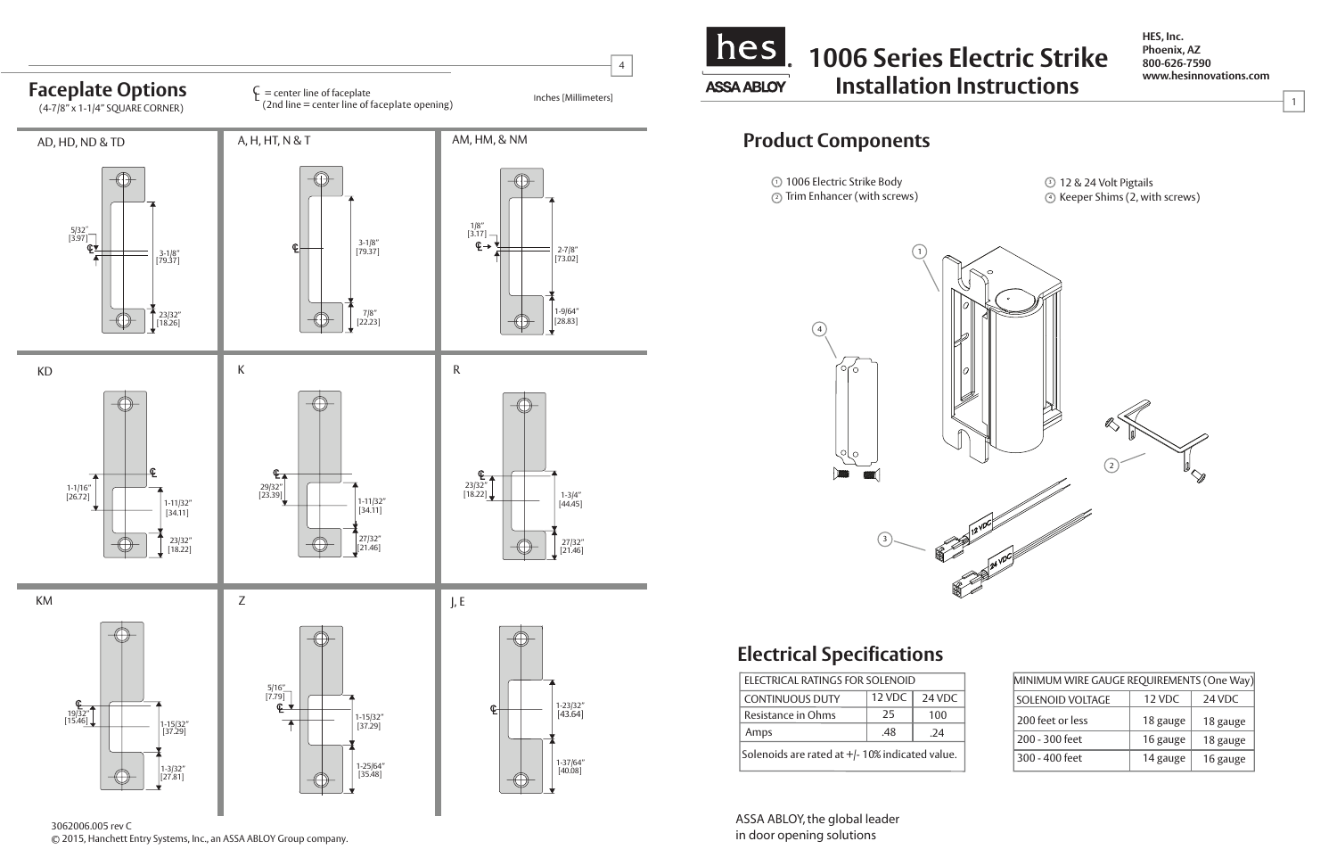**HES, Inc. Phoenix, AZ 800-626-7590 www.hesinnovations.com**

1



| MINIMUM WIRE GAUGE REQUIREMENTS (One Way) |          |          |
|-------------------------------------------|----------|----------|
| SOLENOID VOLTAGE                          | 12 VDC   | 24 VDC   |
| 200 feet or less                          | 18 gauge | 18 gauge |
| 200 - 300 feet                            | 16 gauge | 18 gauge |
| 300 - 400 feet                            | 14 gauge | 16 gauge |

3062006.005 rev C© 2015, Hanchett Entry Systems, Inc., an ASSA ABLOY Group company. ASSA ABLOY, the global leader in door opening solutions